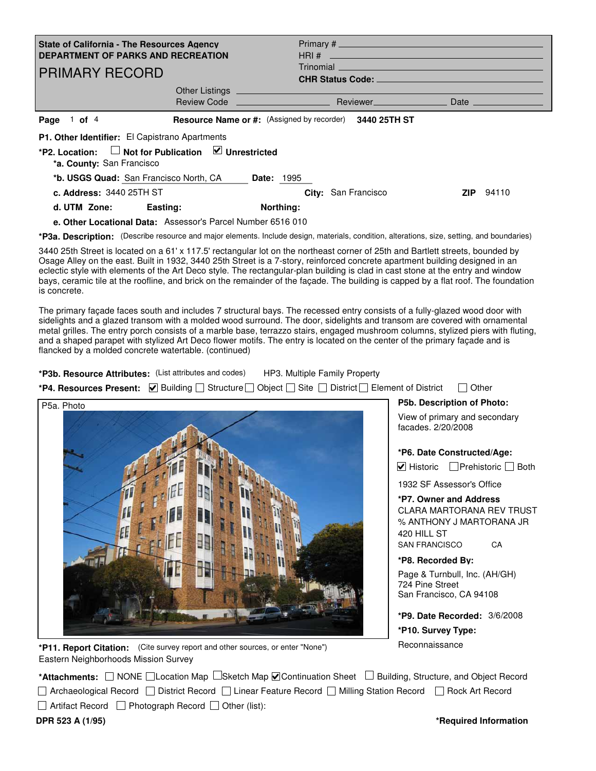| State of California - The Resources Agency<br><b>DEPARTMENT OF PARKS AND RECREATION</b><br><b>PRIMARY RECORD</b> |                                                |                     | Trinomial experimental and the service of the service of the service of the service of the service of the service of the service of the service of the service of the service of the service of the service of the service of |  |                  |
|------------------------------------------------------------------------------------------------------------------|------------------------------------------------|---------------------|-------------------------------------------------------------------------------------------------------------------------------------------------------------------------------------------------------------------------------|--|------------------|
| Resource Name or #: (Assigned by recorder) 3440 25TH ST<br>Page $1$ of $4$                                       |                                                |                     |                                                                                                                                                                                                                               |  |                  |
| P1. Other Identifier: El Capistrano Apartments                                                                   |                                                |                     |                                                                                                                                                                                                                               |  |                  |
| *P2. Location:<br>*a. County: San Francisco                                                                      | $\Box$ Not for Publication $\Box$ Unrestricted |                     |                                                                                                                                                                                                                               |  |                  |
| <b>*b. USGS Quad:</b> San Francisco North, CA Date: 1995                                                         |                                                |                     |                                                                                                                                                                                                                               |  |                  |
| c. Address: $344025THST$                                                                                         |                                                | City: San Francisco |                                                                                                                                                                                                                               |  | <b>ZIP</b> 94110 |
| d. UTM Zone: Easting:                                                                                            |                                                | Northing:           |                                                                                                                                                                                                                               |  |                  |
| e. Other Locational Data: Assessor's Parcel Number 6516 010                                                      |                                                |                     |                                                                                                                                                                                                                               |  |                  |

\*P3a. Description: (Describe resource and major elements. Include design, materials, condition, alterations, size, setting, and boundaries)

3440 25th Street is located on a 61' x 117.5' rectangular lot on the northeast corner of 25th and Bartlett streets, bounded by Osage Alley on the east. Built in 1932, 3440 25th Street is a 7-story, reinforced concrete apartment building designed in an eclectic style with elements of the Art Deco style. The rectangular-plan building is clad in cast stone at the entry and window bays, ceramic tile at the roofline, and brick on the remainder of the façade. The building is capped by a flat roof. The foundation is concrete.

The primary façade faces south and includes 7 structural bays. The recessed entry consists of a fully-glazed wood door with sidelights and a glazed transom with a molded wood surround. The door, sidelights and transom are covered with ornamental metal grilles. The entry porch consists of a marble base, terrazzo stairs, engaged mushroom columns, stylized piers with fluting, and a shaped parapet with stylized Art Deco flower motifs. The entry is located on the center of the primary façade and is flancked by a molded concrete watertable. (continued)

**\*P3b. Resource Attributes:** (List attributes and codes) HP3. Multiple Family Property

**\*P4. Resources Present:**  $\Box$  Building  $\Box$  Structure  $\Box$  Object  $\Box$  Site  $\Box$  District  $\Box$  Element of District  $\Box$  Other



**\*P11. Report Citation:**  (Cite survey report and other sources, or enter "None") Eastern Neighborhoods Mission Survey

\***Attachments:** NONE Clocation Map CSketch Map **C** Continuation Sheet Building, Structure, and Object Record

□ Archaeological Record □ District Record □ Linear Feature Record □ Milling Station Record □ Rock Art Record

 $\Box$  Artifact Record  $\Box$  Photograph Record  $\Box$  Other (list):

**DPR 523 A (1/95)**

**P5b. Description of Photo:**

View of primary and secondary facades. 2/20/2008

## **\*P6. Date Constructed/Age:**

Historic L\_ Prehistoric L\_ Both

1932 SF Assessor's Office

**\*P7. Owner and Address** CLARA MARTORANA REV TRUST % ANTHONY J MARTORANA JR 420 HILL ST SAN FRANCISCO CA

**\*P8. Recorded By:** Page & Turnbull, Inc. (AH/GH) 724 Pine Street San Francisco, CA 94108

**\*P9. Date Recorded:** 3/6/2008 **\*P10. Survey Type: Reconnaissance**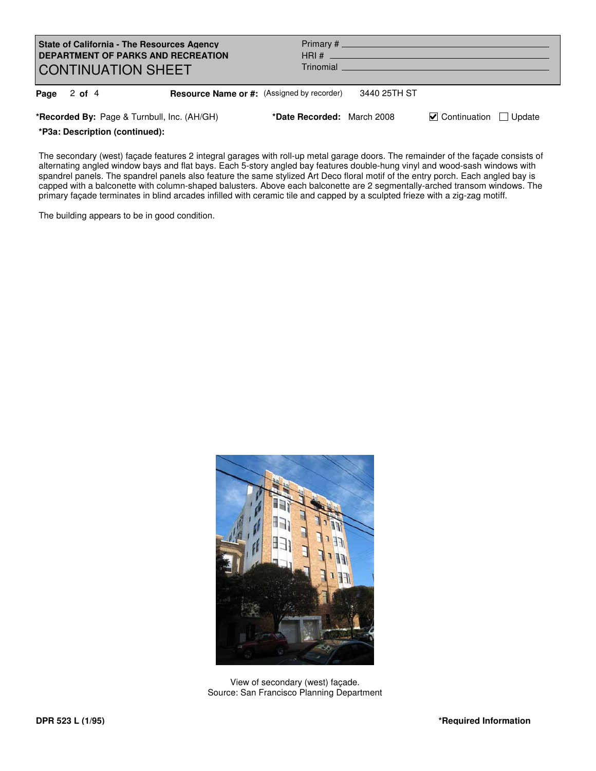| <b>State of California - The Resources Agency</b><br>DEPARTMENT OF PARKS AND RECREATION<br><b>CONTINUATION SHEET</b> |                                                   |                            |              |                                                   |        |
|----------------------------------------------------------------------------------------------------------------------|---------------------------------------------------|----------------------------|--------------|---------------------------------------------------|--------|
| Page $2$ of $4$                                                                                                      | <b>Resource Name or #:</b> (Assigned by recorder) |                            | 3440 25TH ST |                                                   |        |
| *Recorded By: Page & Turnbull, Inc. (AH/GH)                                                                          |                                                   | *Date Recorded: March 2008 |              | $\blacktriangleright$ Continuation $\blacksquare$ | Update |

**\*P3a: Description (continued):**

The secondary (west) façade features 2 integral garages with roll-up metal garage doors. The remainder of the façade consists of alternating angled window bays and flat bays. Each 5-story angled bay features double-hung vinyl and wood-sash windows with spandrel panels. The spandrel panels also feature the same stylized Art Deco floral motif of the entry porch. Each angled bay is capped with a balconette with column-shaped balusters. Above each balconette are 2 segmentally-arched transom windows. The primary façade terminates in blind arcades infilled with ceramic tile and capped by a sculpted frieze with a zig-zag motiff.

The building appears to be in good condition.



View of secondary (west) façade. Source: San Francisco Planning Department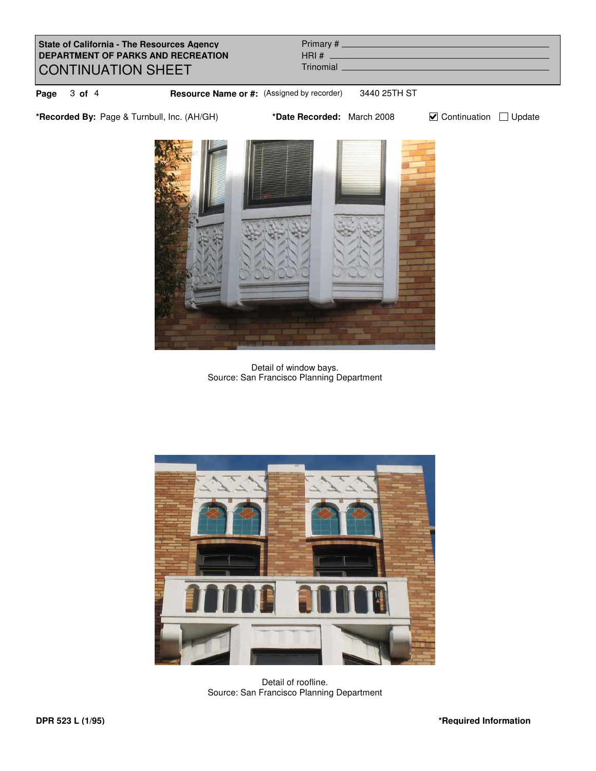**State of California - The Resources Agency DEPARTMENT OF PARKS AND RECREATION** CONTINUATION SHEET Primary # HRI # **Page** 3 of 4 **Resource Name or #:** (Assigned by recorder) 3440 25TH ST \*Recorded By: Page & Turnbull, Inc. (AH/GH) **\*Date Recorded:** March 2008 **Continuation** Update **Trinomial** 



Detail of window bays. Source: San Francisco Planning Department



Detail of roofline. Source: San Francisco Planning Department